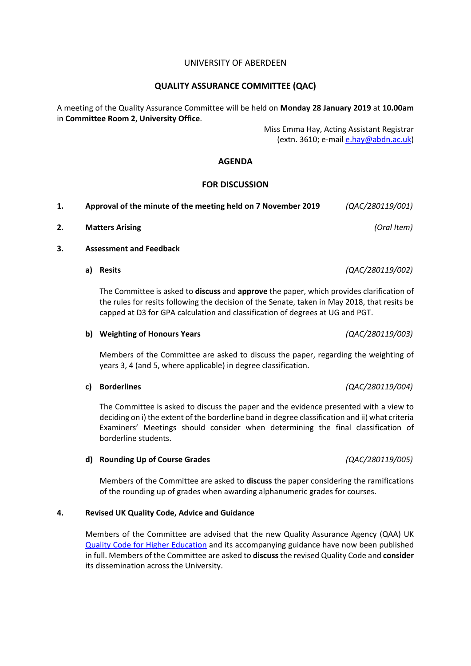## UNIVERSITY OF ABERDEEN

## **QUALITY ASSURANCE COMMITTEE (QAC)**

A meeting of the Quality Assurance Committee will be held on **Monday 28 January 2019** at **10.00am** in **Committee Room 2**, **University Office**.

> Miss Emma Hay, Acting Assistant Registrar (extn. 3610; e-mail [e.hay@abdn.ac.uk\)](mailto:e.hay@abdn.ac.uk)

## **AGENDA**

## **FOR DISCUSSION**

| Approval of the minute of the meeting held on 7 November 2019 | (QAC/280119/001) |
|---------------------------------------------------------------|------------------|
|                                                               |                  |

**2. Matters Arising** *(Oral Item)*

### **3. Assessment and Feedback**

**a) Resits** *(QAC/280119/002)*

The Committee is asked to **discuss** and **approve** the paper, which provides clarification of the rules for resits following the decision of the Senate, taken in May 2018, that resits be capped at D3 for GPA calculation and classification of degrees at UG and PGT.

#### **b) Weighting of Honours Years** *(QAC/280119/003)*

Members of the Committee are asked to discuss the paper, regarding the weighting of years 3, 4 (and 5, where applicable) in degree classification.

#### **c) Borderlines** *(QAC/280119/004)*

The Committee is asked to discuss the paper and the evidence presented with a view to deciding on i) the extent of the borderline band in degree classification and ii) what criteria Examiners' Meetings should consider when determining the final classification of borderline students.

#### **d) Rounding Up of Course Grades** *(QAC/280119/005)*

Members of the Committee are asked to **discuss** the paper considering the ramifications of the rounding up of grades when awarding alphanumeric grades for courses.

#### **4. Revised UK Quality Code, Advice and Guidance**

Members of the Committee are advised that the new Quality Assurance Agency (QAA) UK [Quality Code for Higher Education](https://qaa.us3.list-manage.com/track/click?u=005201c8e9f59dec787dc820f&id=47b5a573c4&e=a3a021812b) and its accompanying guidance have now been published in full. Members of the Committee are asked to **discuss**the revised Quality Code and **consider** its dissemination across the University.